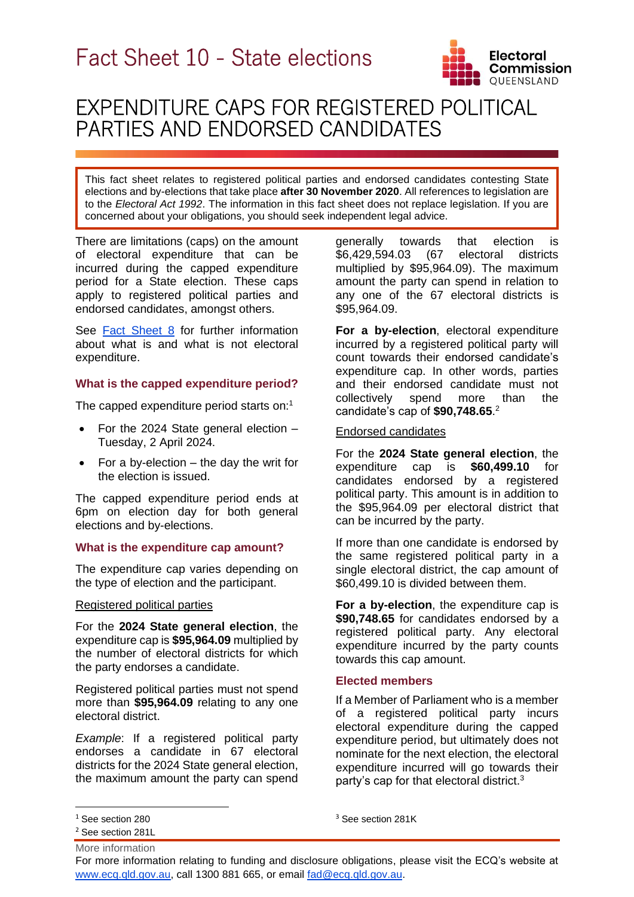

i<br>L

# EXPENDITURE CAPS FOR REGISTERED POLITICAL PARTIES AND ENDORSED CANDIDATES

This fact sheet relates to registered political parties and endorsed candidates contesting State elections and by-elections that take place **after 30 November 2020**. All references to legislation are to the *Electoral Act 1992*. The information in this fact sheet does not replace legislation. If you are concerned about your obligations, you should seek independent legal advice.

There are limitations (caps) on the amount of electoral expenditure that can be incurred during the capped expenditure period for a State election. These caps apply to registered political parties and endorsed candidates, amongst others.

See [Fact Sheet](https://www.ecq.qld.gov.au/election-participants/handbooks,-fact-sheets-and-forms) 8 for further information about what is and what is not electoral expenditure.

# **What is the capped expenditure period?**

The capped expenditure period starts on:<sup>1</sup>

- For the 2024 State general election Tuesday, 2 April 2024.
- For a by-election  $-$  the day the writ for the election is issued.

The capped expenditure period ends at 6pm on election day for both general elections and by-elections.

## **What is the expenditure cap amount?**

The expenditure cap varies depending on the type of election and the participant.

## Registered political parties

For the **2024 State general election**, the expenditure cap is **\$95,964.09** multiplied by the number of electoral districts for which the party endorses a candidate.

Registered political parties must not spend more than **\$95,964.09** relating to any one electoral district.

*Example*: If a registered political party endorses a candidate in 67 electoral districts for the 2024 State general election, the maximum amount the party can spend generally towards that election is<br>\$6,429,594.03 (67 electoral districts \$6,429,594.03 (67 electoral districts multiplied by \$95,964.09). The maximum amount the party can spend in relation to any one of the 67 electoral districts is \$95,964.09.

**For a by-election**, electoral expenditure incurred by a registered political party will count towards their endorsed candidate's expenditure cap. In other words, parties and their endorsed candidate must not collectively spend more than the candidate's cap of **\$90,748.65**. 2

## Endorsed candidates

For the **2024 State general election**, the expenditure cap is **\$60,499.10** for candidates endorsed by a registered political party. This amount is in addition to the \$95,964.09 per electoral district that can be incurred by the party.

If more than one candidate is endorsed by the same registered political party in a single electoral district, the cap amount of \$60,499.10 is divided between them.

**For a by-election**, the expenditure cap is **\$90,748.65** for candidates endorsed by a registered political party. Any electoral expenditure incurred by the party counts towards this cap amount.

# **Elected members**

If a Member of Parliament who is a member of a registered political party incurs electoral expenditure during the capped expenditure period, but ultimately does not nominate for the next election, the electoral expenditure incurred will go towards their party's cap for that electoral district.<sup>3</sup>

For more information relating to funding and disclosure obligations, please visit the ECQ's website at [www.ecq.qld.gov.au,](http://www.ecq.qld.gov.au/) call 1300 881 665, or email [fad@ecq.qld.gov.au.](mailto:fad@ecq.qld.gov.au)

<sup>&</sup>lt;sup>1</sup> See section 280

More information <sup>2</sup> See section 281L

<sup>&</sup>lt;sup>3</sup> See section 281K